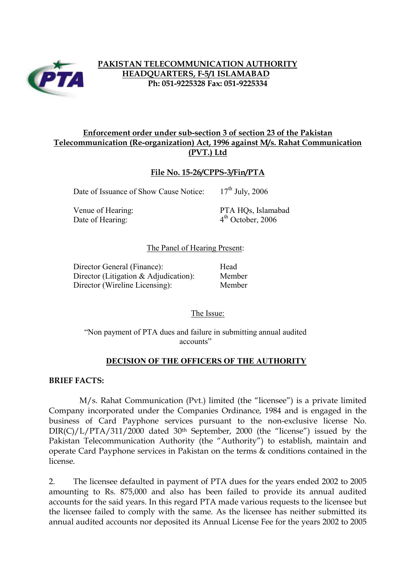

# **PAKISTAN TELECOMMUNICATION AUTHORITY HEADQUARTERS, F-5/1 ISLAMABAD Ph: 051-9225328 Fax: 051-9225334**

# **Enforcement order under sub-section 3 of section 23 of the Pakistan Telecommunication (Re-organization) Act, 1996 against M/s. Rahat Communication (PVT.) Ltd**

#### **File No. 15-26/CPPS-3/Fin/PTA**

Date of Issuance of Show Cause Notice:  $17<sup>th</sup>$  July, 2006

Date of Hearing: 4<sup>th</sup> October, 2006

Venue of Hearing: PTA HQs, Islamabad

#### The Panel of Hearing Present:

Director General (Finance): Head Director (Litigation & Adjudication): Member Director (Wireline Licensing): Member

The Issue:

"Non payment of PTA dues and failure in submitting annual audited accounts"

#### **DECISION OF THE OFFICERS OF THE AUTHORITY**

**BRIEF FACTS:** 

M/s. Rahat Communication (Pvt.) limited (the "licensee") is a private limited Company incorporated under the Companies Ordinance, 1984 and is engaged in the business of Card Payphone services pursuant to the non-exclusive license No. DIR(C)/L/PTA/311/2000 dated 30<sup>th</sup> September, 2000 (the "license") issued by the Pakistan Telecommunication Authority (the "Authority") to establish, maintain and operate Card Payphone services in Pakistan on the terms & conditions contained in the license.

2. The licensee defaulted in payment of PTA dues for the years ended 2002 to 2005 amounting to Rs. 875,000 and also has been failed to provide its annual audited accounts for the said years. In this regard PTA made various requests to the licensee but the licensee failed to comply with the same. As the licensee has neither submitted its annual audited accounts nor deposited its Annual License Fee for the years 2002 to 2005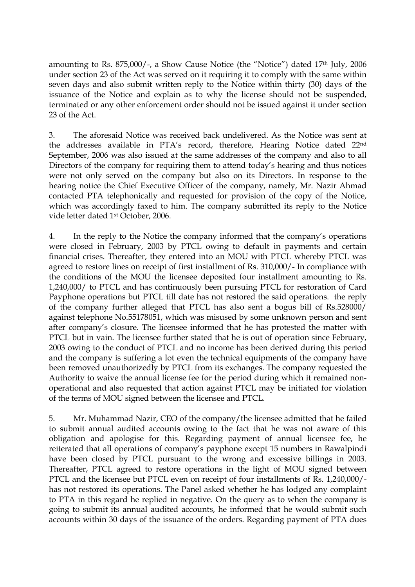amounting to Rs. 875,000/-, a Show Cause Notice (the "Notice") dated 17<sup>th</sup> July, 2006 under section 23 of the Act was served on it requiring it to comply with the same within seven days and also submit written reply to the Notice within thirty (30) days of the issuance of the Notice and explain as to why the license should not be suspended, terminated or any other enforcement order should not be issued against it under section 23 of the Act.

3. The aforesaid Notice was received back undelivered. As the Notice was sent at the addresses available in PTA's record, therefore, Hearing Notice dated 22nd September, 2006 was also issued at the same addresses of the company and also to all Directors of the company for requiring them to attend today's hearing and thus notices were not only served on the company but also on its Directors. In response to the hearing notice the Chief Executive Officer of the company, namely, Mr. Nazir Ahmad contacted PTA telephonically and requested for provision of the copy of the Notice, which was accordingly faxed to him. The company submitted its reply to the Notice vide letter dated 1st October, 2006.

4. In the reply to the Notice the company informed that the company's operations were closed in February, 2003 by PTCL owing to default in payments and certain financial crises. Thereafter, they entered into an MOU with PTCL whereby PTCL was agreed to restore lines on receipt of first installment of Rs. 310,000/- In compliance with the conditions of the MOU the licensee deposited four installment amounting to Rs. 1,240,000/ to PTCL and has continuously been pursuing PTCL for restoration of Card Payphone operations but PTCL till date has not restored the said operations. the reply of the company further alleged that PTCL has also sent a bogus bill of Rs.528000/ against telephone No.55178051, which was misused by some unknown person and sent after company's closure. The licensee informed that he has protested the matter with PTCL but in vain. The licensee further stated that he is out of operation since February, 2003 owing to the conduct of PTCL and no income has been derived during this period and the company is suffering a lot even the technical equipments of the company have been removed unauthorizedly by PTCL from its exchanges. The company requested the Authority to waive the annual license fee for the period during which it remained nonoperational and also requested that action against PTCL may be initiated for violation of the terms of MOU signed between the licensee and PTCL.

5. Mr. Muhammad Nazir, CEO of the company/the licensee admitted that he failed to submit annual audited accounts owing to the fact that he was not aware of this obligation and apologise for this. Regarding payment of annual licensee fee, he reiterated that all operations of company's payphone except 15 numbers in Rawalpindi have been closed by PTCL pursuant to the wrong and excessive billings in 2003. Thereafter, PTCL agreed to restore operations in the light of MOU signed between PTCL and the licensee but PTCL even on receipt of four installments of Rs. 1,240,000/ has not restored its operations. The Panel asked whether he has lodged any complaint to PTA in this regard he replied in negative. On the query as to when the company is going to submit its annual audited accounts, he informed that he would submit such accounts within 30 days of the issuance of the orders. Regarding payment of PTA dues